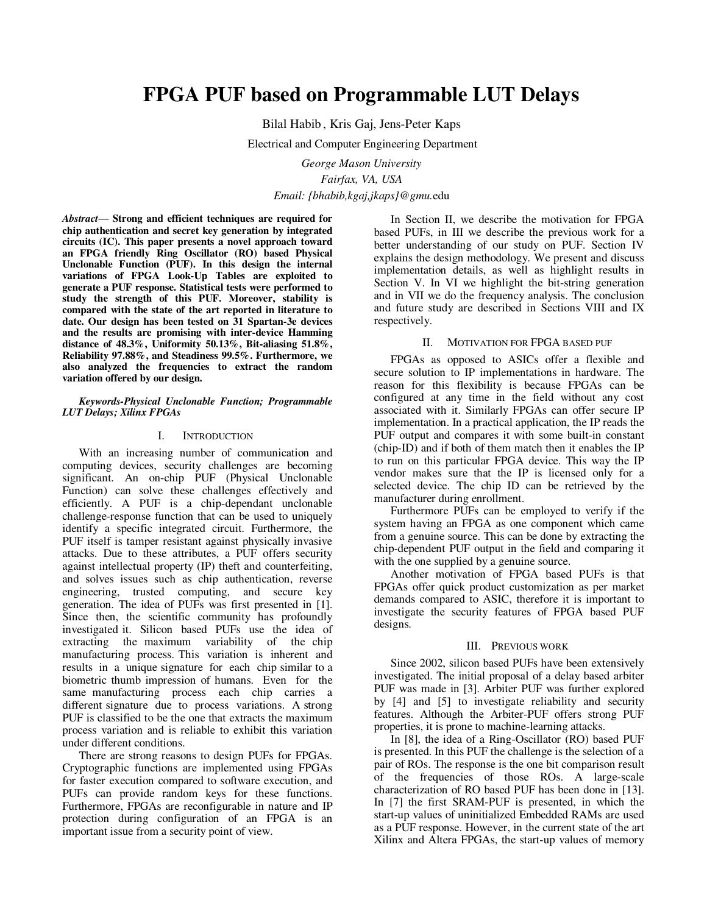# **FPGA PUF based on Programmable LUT Delays**

Bilal Habib , Kris Gaj, Jens-Peter Kaps

Electrical and Computer Engineering Department

*George Mason University Fairfax, VA, USA Email: {bhabib,kgaj,jkaps}@gmu.*edu

*Abstract*— **Strong and efficient techniques are required for chip authentication and secret key generation by integrated circuits (IC). This paper presents a novel approach toward an FPGA friendly Ring Oscillator (RO) based Physical Unclonable Function (PUF). In this design the internal variations of FPGA Look-Up Tables are exploited to generate a PUF response. Statistical tests were performed to study the strength of this PUF. Moreover, stability is compared with the state of the art reported in literature to date. Our design has been tested on 31 Spartan-3e devices and the results are promising with inter-device Hamming distance of 48.3%, Uniformity 50.13%, Bit-aliasing 51.8%, Reliability 97.88%, and Steadiness 99.5%. Furthermore, we also analyzed the frequencies to extract the random variation offered by our design.** 

#### *Keywords-Physical Unclonable Function; Programmable LUT Delays; Xilinx FPGAs*

# I. INTRODUCTION

With an increasing number of communication and computing devices, security challenges are becoming significant. An on-chip PUF (Physical Unclonable Function) can solve these challenges effectively and efficiently. A PUF is a chip-dependant unclonable challenge-response function that can be used to uniquely identify a specific integrated circuit. Furthermore, the PUF itself is tamper resistant against physically invasive attacks. Due to these attributes, a PUF offers security against intellectual property (IP) theft and counterfeiting, and solves issues such as chip authentication, reverse engineering, trusted computing, and secure key generation. The idea of PUFs was first presented in [1]. Since then, the scientific community has profoundly investigated it. Silicon based PUFs use the idea of extracting the maximum variability of the chip manufacturing process. This variation is inherent and results in a unique signature for each chip similar to a biometric thumb impression of humans. Even for the same manufacturing process each chip carries a different signature due to process variations. A strong PUF is classified to be the one that extracts the maximum process variation and is reliable to exhibit this variation under different conditions.

There are strong reasons to design PUFs for FPGAs. Cryptographic functions are implemented using FPGAs for faster execution compared to software execution, and PUFs can provide random keys for these functions. Furthermore, FPGAs are reconfigurable in nature and IP protection during configuration of an FPGA is an important issue from a security point of view.

In Section II, we describe the motivation for FPGA based PUFs, in III we describe the previous work for a better understanding of our study on PUF. Section IV explains the design methodology. We present and discuss implementation details, as well as highlight results in Section V. In VI we highlight the bit-string generation and in VII we do the frequency analysis. The conclusion and future study are described in Sections VIII and IX respectively.

# II. MOTIVATION FOR FPGA BASED PUF

FPGAs as opposed to ASICs offer a flexible and secure solution to IP implementations in hardware. The reason for this flexibility is because FPGAs can be configured at any time in the field without any cost associated with it. Similarly FPGAs can offer secure IP implementation. In a practical application, the IP reads the PUF output and compares it with some built-in constant (chip-ID) and if both of them match then it enables the IP to run on this particular FPGA device. This way the IP vendor makes sure that the IP is licensed only for a selected device. The chip ID can be retrieved by the manufacturer during enrollment.

Furthermore PUFs can be employed to verify if the system having an FPGA as one component which came from a genuine source. This can be done by extracting the chip-dependent PUF output in the field and comparing it with the one supplied by a genuine source.

Another motivation of FPGA based PUFs is that FPGAs offer quick product customization as per market demands compared to ASIC, therefore it is important to investigate the security features of FPGA based PUF designs.

# III. PREVIOUS WORK

Since 2002, silicon based PUFs have been extensively investigated. The initial proposal of a delay based arbiter PUF was made in [3]. Arbiter PUF was further explored by [4] and [5] to investigate reliability and security features. Although the Arbiter-PUF offers strong PUF properties, it is prone to machine-learning attacks.

In [8], the idea of a Ring-Oscillator (RO) based PUF is presented. In this PUF the challenge is the selection of a pair of ROs. The response is the one bit comparison result of the frequencies of those ROs. A large-scale characterization of RO based PUF has been done in [13]. In [7] the first SRAM-PUF is presented, in which the start-up values of uninitialized Embedded RAMs are used as a PUF response. However, in the current state of the art Xilinx and Altera FPGAs, the start-up values of memory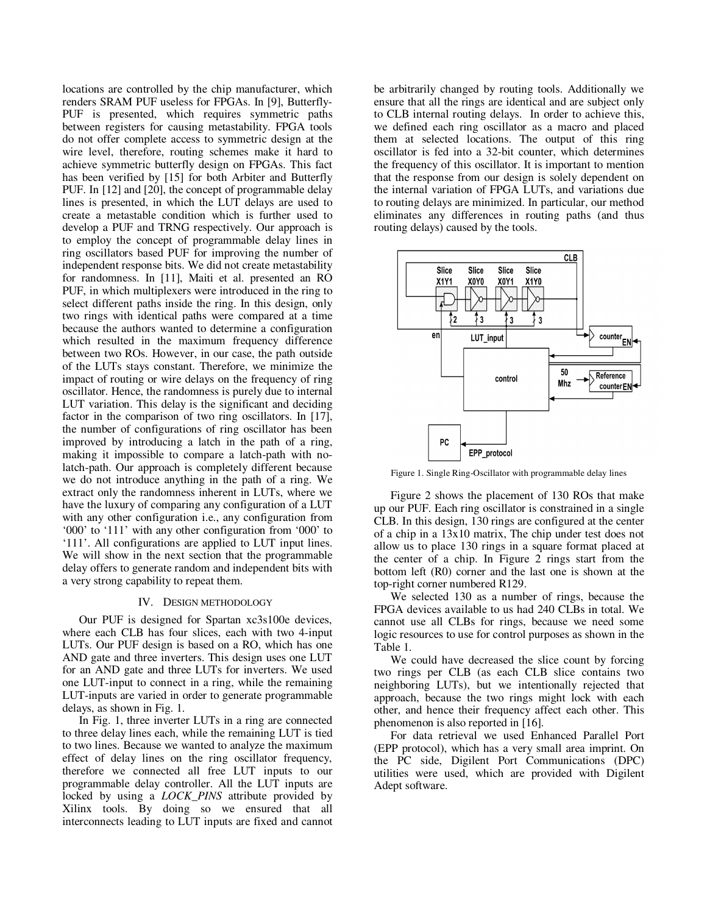locations are controlled by the chip manufacturer, which renders SRAM PUF useless for FPGAs. In [9], Butterfly-PUF is presented, which requires symmetric paths between registers for causing metastability. FPGA tools do not offer complete access to symmetric design at the wire level, therefore, routing schemes make it hard to achieve symmetric butterfly design on FPGAs. This fact has been verified by [15] for both Arbiter and Butterfly PUF. In [12] and [20], the concept of programmable delay lines is presented, in which the LUT delays are used to create a metastable condition which is further used to develop a PUF and TRNG respectively. Our approach is to employ the concept of programmable delay lines in ring oscillators based PUF for improving the number of independent response bits. We did not create metastability for randomness. In [11], Maiti et al. presented an RO PUF, in which multiplexers were introduced in the ring to select different paths inside the ring. In this design, only two rings with identical paths were compared at a time because the authors wanted to determine a configuration which resulted in the maximum frequency difference between two ROs. However, in our case, the path outside of the LUTs stays constant. Therefore, we minimize the impact of routing or wire delays on the frequency of ring oscillator. Hence, the randomness is purely due to internal LUT variation. This delay is the significant and deciding factor in the comparison of two ring oscillators. In [17], the number of configurations of ring oscillator has been improved by introducing a latch in the path of a ring, making it impossible to compare a latch-path with nolatch-path. Our approach is completely different because we do not introduce anything in the path of a ring. We extract only the randomness inherent in LUTs, where we have the luxury of comparing any configuration of a LUT with any other configuration i.e., any configuration from '000' to '111' with any other configuration from '000' to '111'. All configurations are applied to LUT input lines. We will show in the next section that the programmable delay offers to generate random and independent bits with a very strong capability to repeat them.

# IV. DESIGN METHODOLOGY

Our PUF is designed for Spartan xc3s100e devices, where each CLB has four slices, each with two 4-input LUTs. Our PUF design is based on a RO, which has one AND gate and three inverters. This design uses one LUT for an AND gate and three LUTs for inverters. We used one LUT-input to connect in a ring, while the remaining LUT-inputs are varied in order to generate programmable delays, as shown in Fig. 1.

In Fig. 1, three inverter LUTs in a ring are connected to three delay lines each, while the remaining LUT is tied to two lines. Because we wanted to analyze the maximum effect of delay lines on the ring oscillator frequency, therefore we connected all free LUT inputs to our programmable delay controller. All the LUT inputs are locked by using a *LOCK\_PINS* attribute provided by Xilinx tools. By doing so we ensured that all interconnects leading to LUT inputs are fixed and cannot be arbitrarily changed by routing tools. Additionally we ensure that all the rings are identical and are subject only to CLB internal routing delays. In order to achieve this, we defined each ring oscillator as a macro and placed them at selected locations. The output of this ring oscillator is fed into a 32-bit counter, which determines the frequency of this oscillator. It is important to mention that the response from our design is solely dependent on the internal variation of FPGA LUTs, and variations due to routing delays are minimized. In particular, our method eliminates any differences in routing paths (and thus routing delays) caused by the tools.



Figure 1. Single Ring-Oscillator with programmable delay lines

Figure 2 shows the placement of 130 ROs that make up our PUF. Each ring oscillator is constrained in a single CLB. In this design, 130 rings are configured at the center of a chip in a 13x10 matrix, The chip under test does not allow us to place 130 rings in a square format placed at the center of a chip. In Figure 2 rings start from the bottom left (R0) corner and the last one is shown at the top-right corner numbered R129.

We selected 130 as a number of rings, because the FPGA devices available to us had 240 CLBs in total. We cannot use all CLBs for rings, because we need some logic resources to use for control purposes as shown in the Table 1.

We could have decreased the slice count by forcing two rings per CLB (as each CLB slice contains two neighboring LUTs), but we intentionally rejected that approach, because the two rings might lock with each other, and hence their frequency affect each other. This phenomenon is also reported in [16].

For data retrieval we used Enhanced Parallel Port (EPP protocol), which has a very small area imprint. On the PC side, Digilent Port Communications (DPC) utilities were used, which are provided with Digilent Adept software.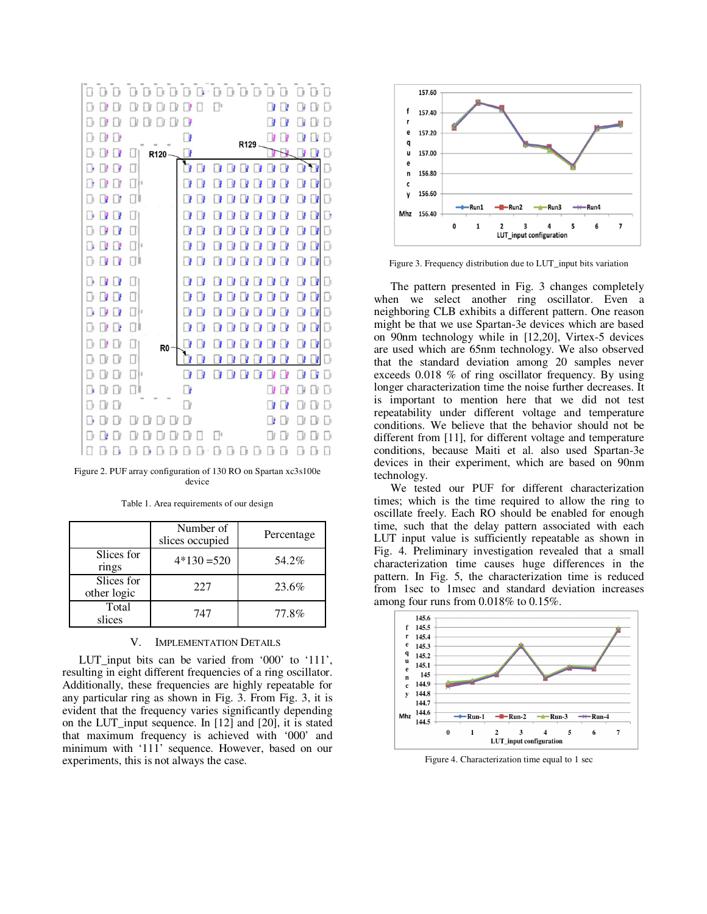

Figure 2. PUF array configuration of 130 RO on Spartan xc3s100e device

|                           | Number of<br>slices occupied | Percentage |
|---------------------------|------------------------------|------------|
| Slices for<br>rings       | $4*130 = 520$                | 54.2%      |
| Slices for<br>other logic | 227                          | 23.6%      |
| Total<br>slices           | 747                          | 77.8%      |

Table 1. Area requirements of our design

# V. IMPLEMENTATION DETAILS

LUT\_input bits can be varied from '000' to '111', resulting in eight different frequencies of a ring oscillator. Additionally, these frequencies are highly repeatable for any particular ring as shown in Fig. 3. From Fig. 3, it is evident that the frequency varies significantly depending on the LUT\_input sequence. In [12] and [20], it is stated that maximum frequency is achieved with '000' and minimum with '111' sequence. However, based on our experiments, this is not always the case.



Figure 3. Frequency distribution due to LUT\_input bits variation

The pattern presented in Fig. 3 changes completely when we select another ring oscillator. Even a neighboring CLB exhibits a different pattern. One reason might be that we use Spartan-3e devices which are based on 90nm technology while in [12,20], Virtex-5 devices are used which are 65nm technology. We also observed that the standard deviation among 20 samples never exceeds 0.018 % of ring oscillator frequency. By using longer characterization time the noise further decreases. It is important to mention here that we did not test repeatability under different voltage and temperature conditions. We believe that the behavior should not be different from [11], for different voltage and temperature conditions, because Maiti et al. also used Spartan-3e devices in their experiment, which are based on 90nm technology.

We tested our PUF for different characterization times; which is the time required to allow the ring to oscillate freely. Each RO should be enabled for enough time, such that the delay pattern associated with each LUT input value is sufficiently repeatable as shown in Fig. 4. Preliminary investigation revealed that a small characterization time causes huge differences in the pattern. In Fig. 5, the characterization time is reduced from 1sec to 1msec and standard deviation increases among four runs from 0.018% to 0.15%.



Figure 4. Characterization time equal to 1 sec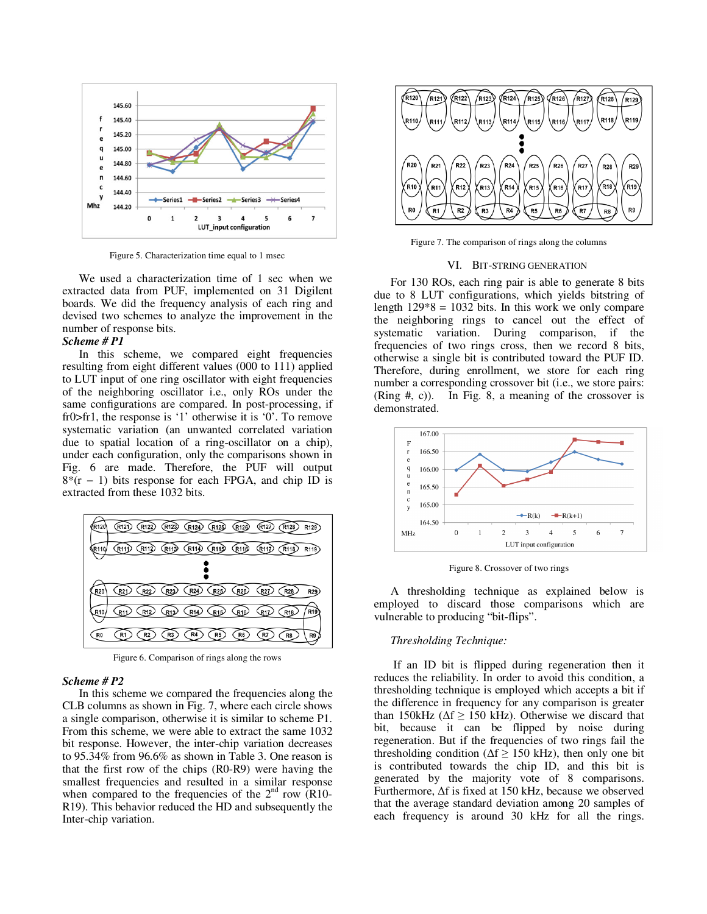

Figure 5. Characterization time equal to 1 msec

We used a characterization time of 1 sec when we extracted data from PUF, implemented on 31 Digilent boards. We did the frequency analysis of each ring and devised two schemes to analyze the improvement in the number of response bits.

# *Scheme # P1*

In this scheme, we compared eight frequencies resulting from eight different values (000 to 111) applied to LUT input of one ring oscillator with eight frequencies of the neighboring oscillator i.e., only ROs under the same configurations are compared. In post-processing, if fr0>fr1, the response is '1' otherwise it is '0'. To remove systematic variation (an unwanted correlated variation due to spatial location of a ring-oscillator on a chip), under each configuration, only the comparisons shown in Fig. 6 are made. Therefore, the PUF will output 8\*(r − 1) bits response for each FPGA, and chip ID is extracted from these 1032 bits.



Figure 6. Comparison of rings along the rows

## *Scheme # P2*

In this scheme we compared the frequencies along the CLB columns as shown in Fig. 7, where each circle shows a single comparison, otherwise it is similar to scheme P1. From this scheme, we were able to extract the same 1032 bit response. However, the inter-chip variation decreases to 95.34% from 96.6% as shown in Table 3. One reason is that the first row of the chips (R0-R9) were having the smallest frequencies and resulted in a similar response when compared to the frequencies of the  $2<sup>nd</sup>$  row (R10-R19). This behavior reduced the HD and subsequently the Inter-chip variation.



Figure 7. The comparison of rings along the columns

#### VI. BIT-STRING GENERATION

For 130 ROs, each ring pair is able to generate 8 bits due to 8 LUT configurations, which yields bitstring of length  $129*8 = 1032$  bits. In this work we only compare the neighboring rings to cancel out the effect of systematic variation. During comparison, if the frequencies of two rings cross, then we record 8 bits, otherwise a single bit is contributed toward the PUF ID. Therefore, during enrollment, we store for each ring number a corresponding crossover bit (i.e., we store pairs: (Ring #, c)). In Fig. 8, a meaning of the crossover is demonstrated.



Figure 8. Crossover of two rings

A thresholding technique as explained below is employed to discard those comparisons which are vulnerable to producing "bit-flips".

## *Thresholding Technique:*

 If an ID bit is flipped during regeneration then it reduces the reliability. In order to avoid this condition, a thresholding technique is employed which accepts a bit if the difference in frequency for any comparison is greater than 150kHz ( $\Delta f \ge 150$  kHz). Otherwise we discard that bit, because it can be flipped by noise during regeneration. But if the frequencies of two rings fail the thresholding condition ( $\Delta f \ge 150$  kHz), then only one bit is contributed towards the chip ID, and this bit is generated by the majority vote of 8 comparisons. Furthermore, ∆f is fixed at 150 kHz, because we observed that the average standard deviation among 20 samples of each frequency is around 30 kHz for all the rings.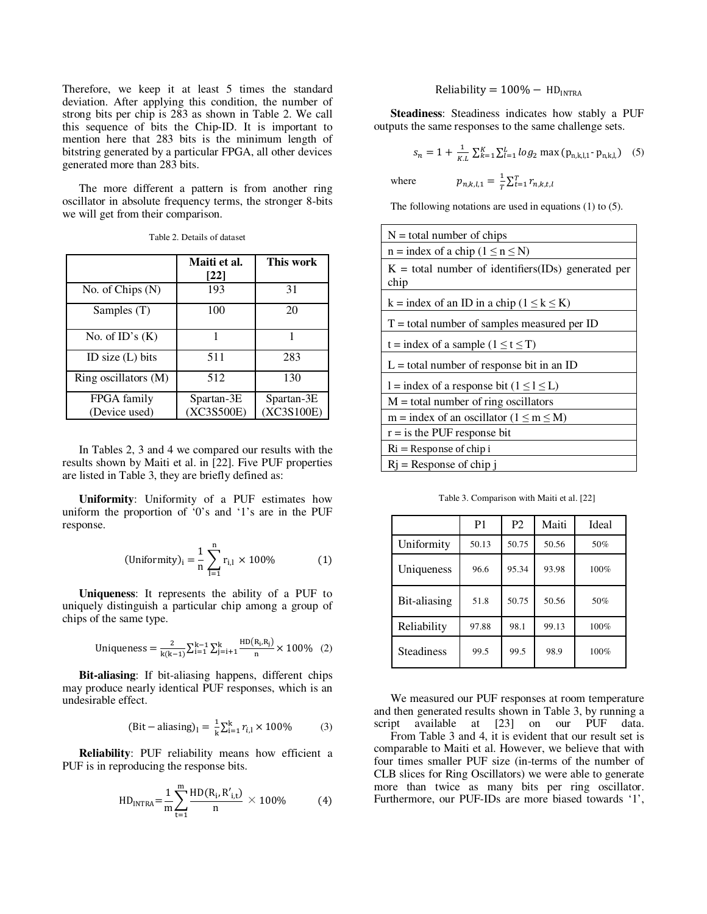Therefore, we keep it at least 5 times the standard deviation. After applying this condition, the number of strong bits per chip is 283 as shown in Table 2. We call this sequence of bits the Chip-ID. It is important to mention here that 283 bits is the minimum length of bitstring generated by a particular FPGA, all other devices generated more than 283 bits.

The more different a pattern is from another ring oscillator in absolute frequency terms, the stronger 8-bits we will get from their comparison.

|                              | Maiti et al.<br>$\lceil 22 \rceil$ | This work                |
|------------------------------|------------------------------------|--------------------------|
| No. of Chips $(N)$           | 193                                | 31                       |
| Samples (T)                  | 100                                | 20                       |
| No. of $ID's(K)$             | 1                                  | 1                        |
| ID size $(L)$ bits           | 511                                | 283                      |
| Ring oscillators (M)         | 512                                | 130                      |
| FPGA family<br>(Device used) | Spartan-3E<br>(XC3S500E)           | Spartan-3E<br>(XC3S100E) |

Table 2. Details of dataset

In Tables 2, 3 and 4 we compared our results with the results shown by Maiti et al. in [22]. Five PUF properties are listed in Table 3, they are briefly defined as:

**Uniformity**: Uniformity of a PUF estimates how uniform the proportion of '0's and '1's are in the PUF response.

(Uniformity)<sub>i</sub> = 
$$
\frac{1}{n} \sum_{l=1}^{n} r_{i,l} \times 100\%
$$
 (1)

**Uniqueness**: It represents the ability of a PUF to uniquely distinguish a particular chip among a group of chips of the same type.

Uniqueness = 
$$
\frac{2}{k(k-1)} \sum_{i=1}^{k-1} \sum_{j=i+1}^{k} \frac{\text{HD}(R_i, R_j)}{n} \times 100\%
$$
 (2)

**Bit-aliasing**: If bit-aliasing happens, different chips may produce nearly identical PUF responses, which is an undesirable effect.

$$
(Bit-aliasing)1 = \frac{1}{k} \sum_{i=1}^{k} r_{i,1} \times 100\%
$$
 (3)

**Reliability**: PUF reliability means how efficient a PUF is in reproducing the response bits.

$$
HD_{INTRA} = \frac{1}{m} \sum_{t=1}^{m} \frac{HD(R_i, R'_{i,t})}{n} \times 100\% \tag{4}
$$

# Reliability =  $100\% - HD<sub>INTRA</sub>$

**Steadiness**: Steadiness indicates how stably a PUF outputs the same responses to the same challenge sets.

$$
s_n = 1 + \frac{1}{\kappa} \sum_{k=1}^{K} \sum_{l=1}^{L} \log_2 \max (p_{n,k,l,1} \cdot p_{n,k,l,}) \quad (5)
$$

where  $p_{n,k,l,1} = \frac{1}{T}$  $\frac{1}{T}\sum_{t=1}^T r_{n,k,t,l}$ 

The following notations are used in equations (1) to (5).

| $N =$ total number of chips                                  |  |  |
|--------------------------------------------------------------|--|--|
| $n =$ index of a chip ( $1 \le n \le N$ )                    |  |  |
| $K =$ total number of identifiers(IDs) generated per<br>chip |  |  |
| $k =$ index of an ID in a chip ( $1 \le k \le K$ )           |  |  |
| $T =$ total number of samples measured per ID                |  |  |
| $t =$ index of a sample $(1 \le t \le T)$                    |  |  |
| $L =$ total number of response bit in an ID                  |  |  |
| $l =$ index of a response bit ( $l \le l \le L$ )            |  |  |
| $M =$ total number of ring oscillators                       |  |  |
| m = index of an oscillator ( $1 \le m \le M$ )               |  |  |
| $r = i s$ the PUF response bit                               |  |  |
| $\mathrm{R}$ i = Response of chip i                          |  |  |
| $Rj$ = Response of chip i                                    |  |  |

Table 3. Comparison with Maiti et al. [22]

|                   | P <sub>1</sub> | P <sub>2</sub> | Maiti | Ideal |
|-------------------|----------------|----------------|-------|-------|
| Uniformity        | 50.13          | 50.75          | 50.56 | 50%   |
| Uniqueness        | 96.6           | 95.34          | 93.98 | 100%  |
| Bit-aliasing      | 51.8           | 50.75          | 50.56 | 50%   |
| Reliability       | 97.88          | 98.1           | 99.13 | 100%  |
| <b>Steadiness</b> | 99.5           | 99.5           | 98.9  | 100%  |

We measured our PUF responses at room temperature and then generated results shown in Table 3, by running a script available at [23] on our PUF data.

From Table 3 and 4, it is evident that our result set is comparable to Maiti et al. However, we believe that with four times smaller PUF size (in-terms of the number of CLB slices for Ring Oscillators) we were able to generate more than twice as many bits per ring oscillator. Furthermore, our PUF-IDs are more biased towards '1',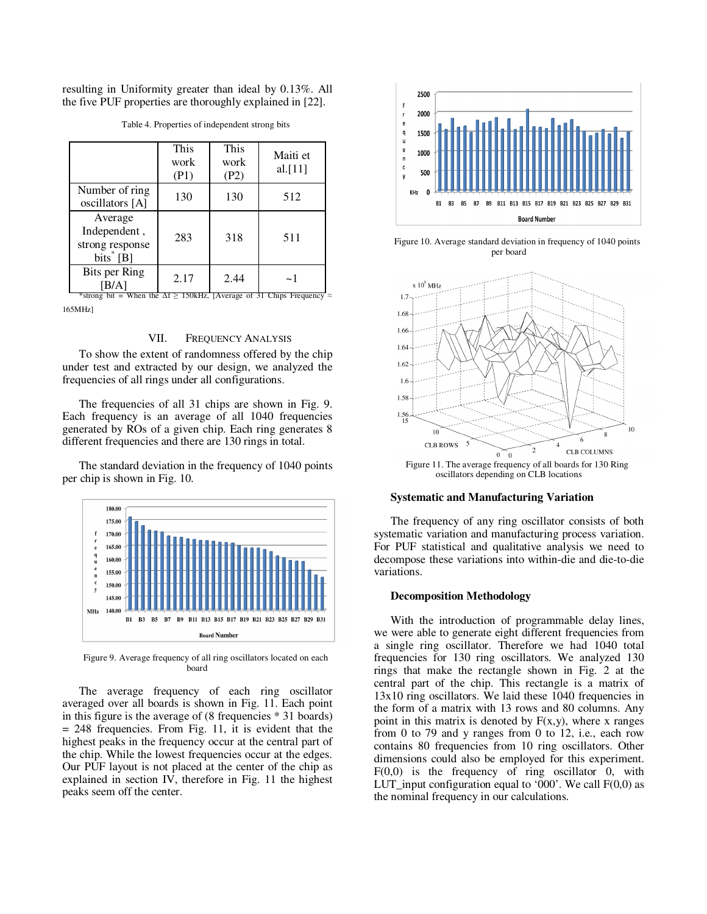resulting in Uniformity greater than ideal by 0.13%. All the five PUF properties are thoroughly explained in [22].

|                                                           | This<br>work<br>(P1) | This<br>work<br>(P2) | Maiti et<br>al. $[11]$ |
|-----------------------------------------------------------|----------------------|----------------------|------------------------|
| Number of ring<br>oscillators [A]                         | 130                  | 130                  | 512                    |
| Average<br>Independent,<br>strong response<br>$bits^*[B]$ | 283                  | 318                  | 511                    |
| <b>Bits per Ring</b>                                      | 2.17                 | 2.44                 | $\sim$ 1               |

Table 4. Properties of independent strong bits

\*strong bit = When the  $\Delta f \ge 150kHz$ . [Average of 31 Chips Frequency ≈ 165MHz]

# VII. FREQUENCY ANALYSIS

To show the extent of randomness offered by the chip under test and extracted by our design, we analyzed the frequencies of all rings under all configurations.

The frequencies of all 31 chips are shown in Fig. 9. Each frequency is an average of all 1040 frequencies generated by ROs of a given chip. Each ring generates 8 different frequencies and there are 130 rings in total.

The standard deviation in the frequency of 1040 points per chip is shown in Fig. 10.



Figure 9. Average frequency of all ring oscillators located on each board

The average frequency of each ring oscillator averaged over all boards is shown in Fig. 11. Each point in this figure is the average of (8 frequencies \* 31 boards) = 248 frequencies. From Fig. 11, it is evident that the highest peaks in the frequency occur at the central part of the chip. While the lowest frequencies occur at the edges. Our PUF layout is not placed at the center of the chip as explained in section IV, therefore in Fig. 11 the highest peaks seem off the center.



Figure 10. Average standard deviation in frequency of 1040 points per board



oscillators depending on CLB locations

# **Systematic and Manufacturing Variation**

The frequency of any ring oscillator consists of both systematic variation and manufacturing process variation. For PUF statistical and qualitative analysis we need to decompose these variations into within-die and die-to-die variations.

## **Decomposition Methodology**

With the introduction of programmable delay lines, we were able to generate eight different frequencies from a single ring oscillator. Therefore we had 1040 total frequencies for 130 ring oscillators. We analyzed 130 rings that make the rectangle shown in Fig. 2 at the central part of the chip. This rectangle is a matrix of 13x10 ring oscillators. We laid these 1040 frequencies in the form of a matrix with 13 rows and 80 columns. Any point in this matrix is denoted by  $F(x,y)$ , where x ranges from 0 to 79 and y ranges from 0 to 12, i.e., each row contains 80 frequencies from 10 ring oscillators. Other dimensions could also be employed for this experiment.  $F(0,0)$  is the frequency of ring oscillator 0, with LUT\_input configuration equal to '000'. We call  $F(0,0)$  as the nominal frequency in our calculations.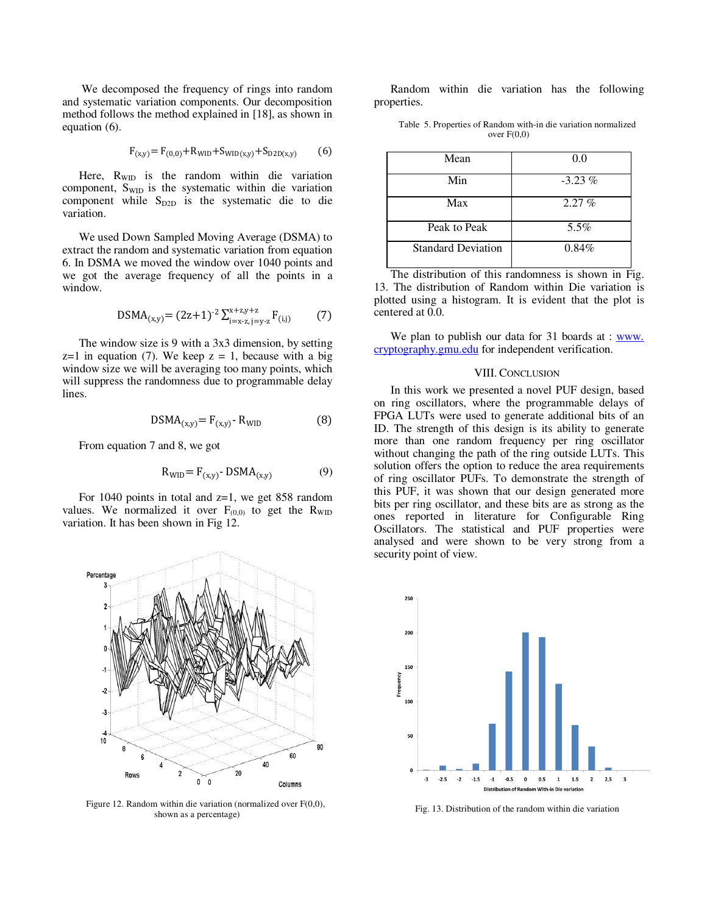We decomposed the frequency of rings into random and systematic variation components. Our decomposition method follows the method explained in [18], as shown in equation (6).

$$
F_{(x,y)} = F_{(0,0)} + R_{\text{WID}} + S_{\text{WID}(x,y)} + S_{\text{D2D}(x,y)} \tag{6}
$$

Here,  $R_{\text{WD}}$  is the random within die variation component, S<sub>WID</sub> is the systematic within die variation component while  $S_{D2D}$  is the systematic die to die variation.

We used Down Sampled Moving Average (DSMA) to extract the random and systematic variation from equation 6. In DSMA we moved the window over 1040 points and we got the average frequency of all the points in a window.

$$
DSMA_{(x,y)} = (2z+1)^{-2} \sum_{i=x-z, j=y-z}^{x+z, y+z} F_{(i,j)} \tag{7}
$$

The window size is 9 with a 3x3 dimension, by setting  $z=1$  in equation (7). We keep  $z = 1$ , because with a big window size we will be averaging too many points, which will suppress the randomness due to programmable delay lines.

$$
DSMA_{(x,y)} = F_{(x,y)} - R_{WID}
$$
 (8)

From equation 7 and 8, we got

$$
R_{\text{WID}} = F_{(x,y)} \cdot \text{DSMA}_{(x,y)} \tag{9}
$$

For 1040 points in total and  $z=1$ , we get 858 random values. We normalized it over  $F_{(0,0)}$  to get the  $R_{\text{WID}}$ variation. It has been shown in Fig 12.



Figure 12. Random within die variation (normalized over F(0,0), shown as a percentage)

Random within die variation has the following properties.

Table 5. Properties of Random with-in die variation normalized over  $F(0,0)$ 

| Mean                      | 0.0       |
|---------------------------|-----------|
| Min                       | $-3.23\%$ |
| Max                       | 2.27%     |
| Peak to Peak              | 5.5%      |
| <b>Standard Deviation</b> | 0.84%     |

The distribution of this randomness is shown in Fig. 13. The distribution of Random within Die variation is plotted using a histogram. It is evident that the plot is centered at 0.0.

We plan to publish our data for 31 boards at :  $\frac{www}{www}$ . cryptography.gmu.edu for independent verification.

#### VIII. CONCLUSION

In this work we presented a novel PUF design, based on ring oscillators, where the programmable delays of FPGA LUTs were used to generate additional bits of an ID. The strength of this design is its ability to generate more than one random frequency per ring oscillator without changing the path of the ring outside LUTs. This solution offers the option to reduce the area requirements of ring oscillator PUFs. To demonstrate the strength of this PUF, it was shown that our design generated more bits per ring oscillator, and these bits are as strong as the ones reported in literature for Configurable Ring Oscillators. The statistical and PUF properties were analysed and were shown to be very strong from a security point of view.



Fig. 13. Distribution of the random within die variation